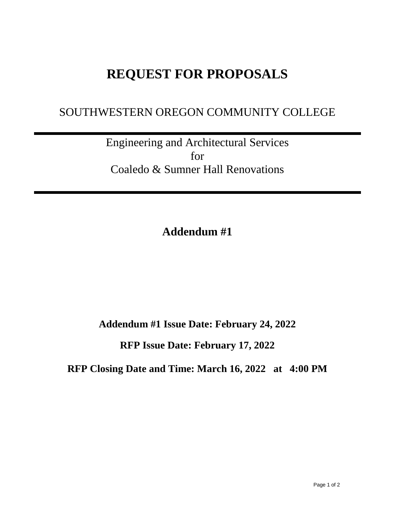## **REQUEST FOR PROPOSALS**

## SOUTHWESTERN OREGON COMMUNITY COLLEGE

Engineering and Architectural Services for Coaledo & Sumner Hall Renovations

**Addendum #1**

**Addendum #1 Issue Date: February 24, 2022**

**RFP Issue Date: February 17, 2022**

**RFP Closing Date and Time: March 16, 2022 at 4:00 PM**